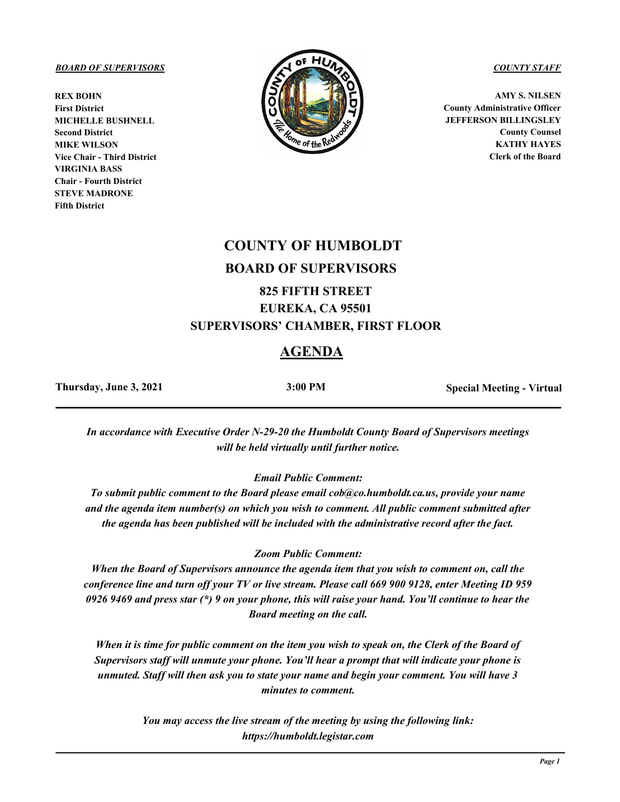**REX BOHN First District MICHELLE BUSHNELL Second District MIKE WILSON Vice Chair - Third District VIRGINIA BASS Chair - Fourth District STEVE MADRONE Fifth District**



**AMY S. NILSEN County Administrative Officer JEFFERSON BILLINGSLEY County Counsel KATHY HAYES Clerk of the Board**

# **COUNTY OF HUMBOLDT BOARD OF SUPERVISORS**

# **825 FIFTH STREET EUREKA, CA 95501 SUPERVISORS' CHAMBER, FIRST FLOOR**

# **AGENDA**

**Thursday, June 3, 2021 3:00 PM Special Meeting - Virtual**

*In accordance with Executive Order N-29-20 the Humboldt County Board of Supervisors meetings will be held virtually until further notice.*

*Email Public Comment:* 

*To submit public comment to the Board please email cob@co.humboldt.ca.us, provide your name and the agenda item number(s) on which you wish to comment. All public comment submitted after the agenda has been published will be included with the administrative record after the fact.* 

### *Zoom Public Comment:*

*When the Board of Supervisors announce the agenda item that you wish to comment on, call the conference line and turn off your TV or live stream. Please call 669 900 9128, enter Meeting ID 959 0926 9469 and press star (\*) 9 on your phone, this will raise your hand. You'll continue to hear the Board meeting on the call.* 

*When it is time for public comment on the item you wish to speak on, the Clerk of the Board of Supervisors staff will unmute your phone. You'll hear a prompt that will indicate your phone is unmuted. Staff will then ask you to state your name and begin your comment. You will have 3 minutes to comment.* 

> *You may access the live stream of the meeting by using the following link: https://humboldt.legistar.com*